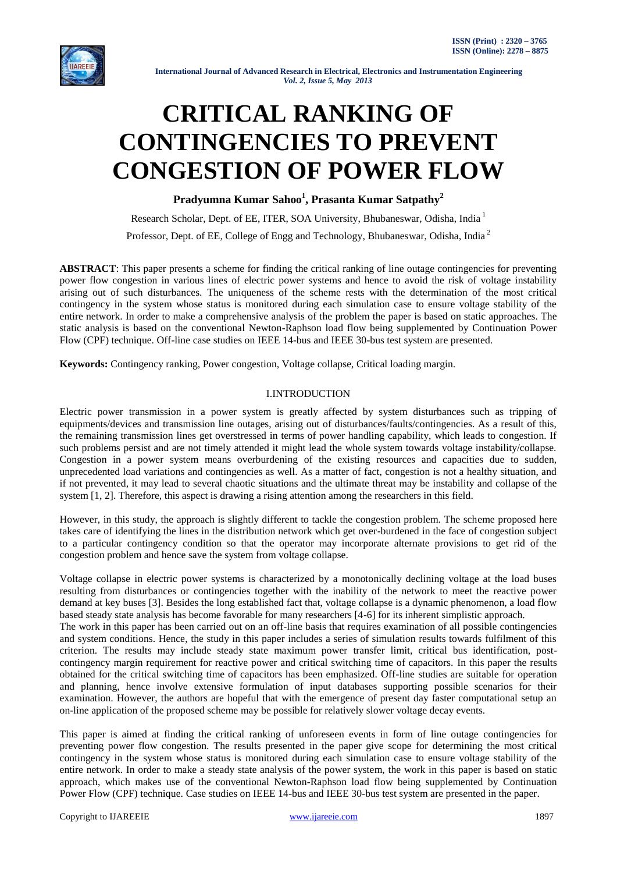

# **CRITICAL RANKING OF CONTINGENCIES TO PREVENT CONGESTION OF POWER FLOW**

**Pradyumna Kumar Sahoo<sup>1</sup> , Prasanta Kumar Satpathy<sup>2</sup>**

Research Scholar, Dept. of EE, ITER, SOA University, Bhubaneswar, Odisha, India<sup>1</sup> Professor, Dept. of EE, College of Engg and Technology, Bhubaneswar, Odisha, India<sup>2</sup>

**ABSTRACT**: This paper presents a scheme for finding the critical ranking of line outage contingencies for preventing power flow congestion in various lines of electric power systems and hence to avoid the risk of voltage instability arising out of such disturbances. The uniqueness of the scheme rests with the determination of the most critical contingency in the system whose status is monitored during each simulation case to ensure voltage stability of the entire network. In order to make a comprehensive analysis of the problem the paper is based on static approaches. The static analysis is based on the conventional Newton-Raphson load flow being supplemented by Continuation Power Flow (CPF) technique. Off-line case studies on IEEE 14-bus and IEEE 30-bus test system are presented.

**Keywords:** Contingency ranking, Power congestion, Voltage collapse, Critical loading margin.

# I.INTRODUCTION

Electric power transmission in a power system is greatly affected by system disturbances such as tripping of equipments/devices and transmission line outages, arising out of disturbances/faults/contingencies. As a result of this, the remaining transmission lines get overstressed in terms of power handling capability, which leads to congestion. If such problems persist and are not timely attended it might lead the whole system towards voltage instability/collapse. Congestion in a power system means overburdening of the existing resources and capacities due to sudden, unprecedented load variations and contingencies as well. As a matter of fact, congestion is not a healthy situation, and if not prevented, it may lead to several chaotic situations and the ultimate threat may be instability and collapse of the system [1, 2]. Therefore, this aspect is drawing a rising attention among the researchers in this field.

However, in this study, the approach is slightly different to tackle the congestion problem. The scheme proposed here takes care of identifying the lines in the distribution network which get over-burdened in the face of congestion subject to a particular contingency condition so that the operator may incorporate alternate provisions to get rid of the congestion problem and hence save the system from voltage collapse.

Voltage collapse in electric power systems is characterized by a monotonically declining voltage at the load buses resulting from disturbances or contingencies together with the inability of the network to meet the reactive power demand at key buses [3]. Besides the long established fact that, voltage collapse is a dynamic phenomenon, a load flow based steady state analysis has become favorable for many researchers [4-6] for its inherent simplistic approach.

The work in this paper has been carried out on an off-line basis that requires examination of all possible contingencies and system conditions. Hence, the study in this paper includes a series of simulation results towards fulfilment of this criterion. The results may include steady state maximum power transfer limit, critical bus identification, postcontingency margin requirement for reactive power and critical switching time of capacitors. In this paper the results obtained for the critical switching time of capacitors has been emphasized. Off-line studies are suitable for operation and planning, hence involve extensive formulation of input databases supporting possible scenarios for their examination. However, the authors are hopeful that with the emergence of present day faster computational setup an on-line application of the proposed scheme may be possible for relatively slower voltage decay events.

This paper is aimed at finding the critical ranking of unforeseen events in form of line outage contingencies for preventing power flow congestion. The results presented in the paper give scope for determining the most critical contingency in the system whose status is monitored during each simulation case to ensure voltage stability of the entire network. In order to make a steady state analysis of the power system, the work in this paper is based on static approach, which makes use of the conventional Newton-Raphson load flow being supplemented by Continuation Power Flow (CPF) technique. Case studies on IEEE 14-bus and IEEE 30-bus test system are presented in the paper.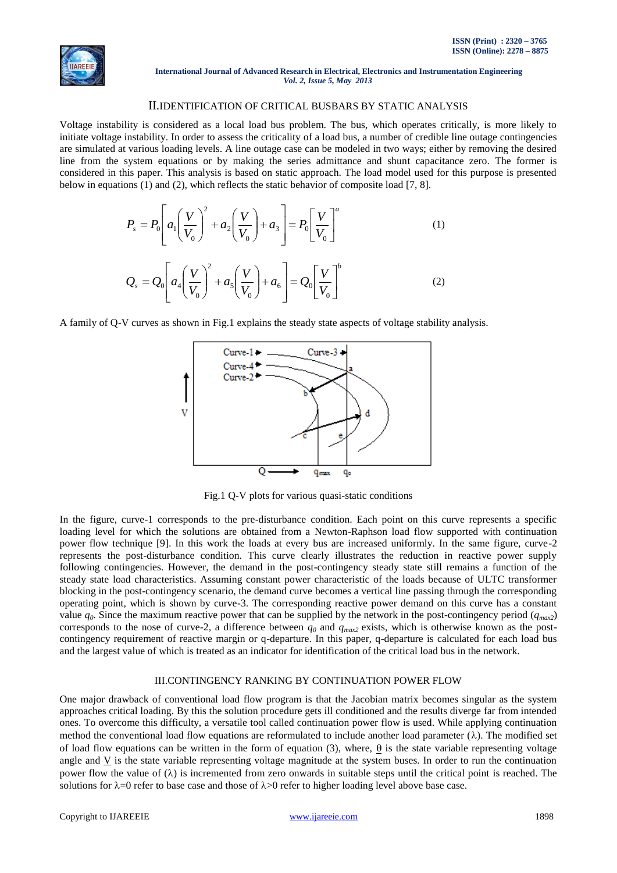

# II.IDENTIFICATION OF CRITICAL BUSBARS BY STATIC ANALYSIS

Voltage instability is considered as a local load bus problem. The bus, which operates critically, is more likely to initiate voltage instability. In order to assess the criticality of a load bus, a number of credible line outage contingencies are simulated at various loading levels. A line outage case can be modeled in two ways; either by removing the desired line from the system equations or by making the series admittance and shunt capacitance zero. The former is considered in this paper. This analysis is based on static approach. The load model used for this purpose is presented below in equations (1) and (2), which reflects the static behavior of composite load [7, 8].

$$
P_s = P_0 \left[ a_1 \left( \frac{V}{V_0} \right)^2 + a_2 \left( \frac{V}{V_0} \right) + a_3 \right] = P_0 \left[ \frac{V}{V_0} \right]^a
$$
\n
$$
Q_s = Q_0 \left[ a_4 \left( \frac{V}{V_0} \right)^2 + a_5 \left( \frac{V}{V_0} \right) + a_6 \right] = Q_0 \left[ \frac{V}{V_0} \right]^b
$$
\n(1)

A family of Q-V curves as shown in Fig.1 explains the steady state aspects of voltage stability analysis.



Fig.1 Q-V plots for various quasi-static conditions

In the figure, curve-1 corresponds to the pre-disturbance condition. Each point on this curve represents a specific loading level for which the solutions are obtained from a Newton-Raphson load flow supported with continuation power flow technique [9]. In this work the loads at every bus are increased uniformly. In the same figure, curve-2 represents the post-disturbance condition. This curve clearly illustrates the reduction in reactive power supply following contingencies. However, the demand in the post-contingency steady state still remains a function of the steady state load characteristics. Assuming constant power characteristic of the loads because of ULTC transformer blocking in the post-contingency scenario, the demand curve becomes a vertical line passing through the corresponding operating point, which is shown by curve-3. The corresponding reactive power demand on this curve has a constant value  $q_0$ . Since the maximum reactive power that can be supplied by the network in the post-contingency period ( $q_{max2}$ ) corresponds to the nose of curve-2, a difference between  $q_0$  and  $q_{max2}$  exists, which is otherwise known as the postcontingency requirement of reactive margin or q-departure. In this paper, q-departure is calculated for each load bus and the largest value of which is treated as an indicator for identification of the critical load bus in the network.

# III.CONTINGENCY RANKING BY CONTINUATION POWER FLOW

One major drawback of conventional load flow program is that the Jacobian matrix becomes singular as the system approaches critical loading. By this the solution procedure gets ill conditioned and the results diverge far from intended ones. To overcome this difficulty, a versatile tool called continuation power flow is used. While applying continuation method the conventional load flow equations are reformulated to include another load parameter  $(\lambda)$ . The modified set of load flow equations can be written in the form of equation (3), where,  $\theta$  is the state variable representing voltage angle and V is the state variable representing voltage magnitude at the system buses. In order to run the continuation power flow the value of  $(\lambda)$  is incremented from zero onwards in suitable steps until the critical point is reached. The solutions for  $\lambda = 0$  refer to base case and those of  $\lambda > 0$  refer to higher loading level above base case.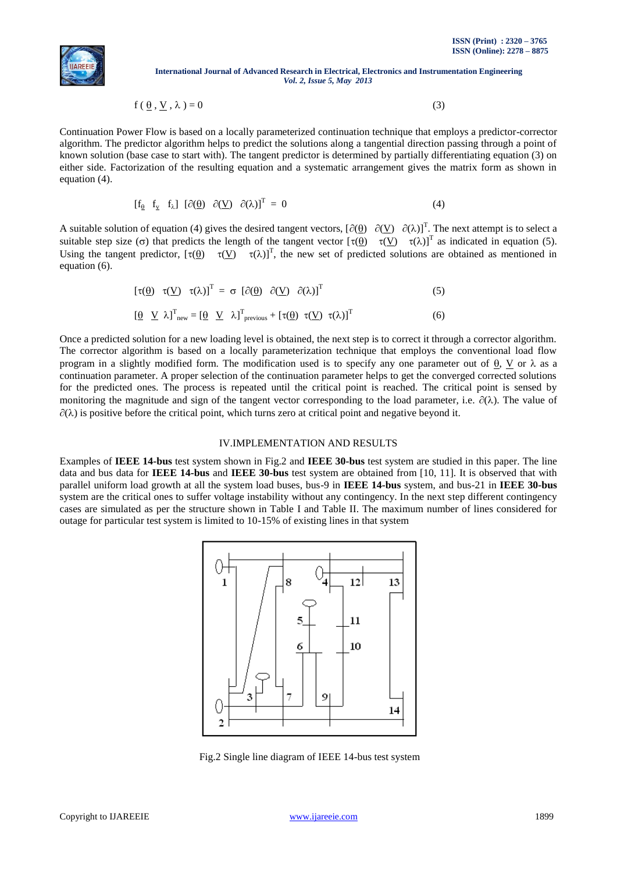

$$
f(\underline{\theta}, \underline{V}, \lambda) = 0 \tag{3}
$$

Continuation Power Flow is based on a locally parameterized continuation technique that employs a predictor-corrector algorithm. The predictor algorithm helps to predict the solutions along a tangential direction passing through a point of known solution (base case to start with). The tangent predictor is determined by partially differentiating equation (3) on either side. Factorization of the resulting equation and a systematic arrangement gives the matrix form as shown in equation (4).

$$
\begin{bmatrix} f_{\underline{\theta}} & f_{\underline{v}} & f_{\lambda} \end{bmatrix} \begin{bmatrix} \partial(\underline{\theta}) & \partial(\underline{V}) & \partial(\lambda) \end{bmatrix}^T = 0 \tag{4}
$$

A suitable solution of equation (4) gives the desired tangent vectors,  $[\partial(\theta) \quad \partial(\underline{V}) \quad \partial(\lambda)]^T$ . The next attempt is to select a suitable step size ( $\sigma$ ) that predicts the length of the tangent vector  $[\tau(\underline{\theta}) \quad \tau(\underline{V}) \quad \tau(\lambda)]^T$  as indicated in equation (5). Using the tangent predictor,  $[\tau(\theta) \quad \tau(V) \quad \tau(\lambda)]^T$ , the new set of predicted solutions are obtained as mentioned in equation (6).

$$
\left[\tau(\underline{\theta}) \quad \tau(\underline{V}) \quad \tau(\lambda)\right]^{\mathrm{T}} = \sigma \left[\partial(\underline{\theta}) \quad \partial(\underline{V}) \quad \partial(\lambda)\right]^{\mathrm{T}} \tag{5}
$$

$$
\left[\underline{\theta} \ \underline{V} \ \lambda\right]^{\mathrm{T}}_{\mathrm{new}} = \left[\underline{\theta} \ \underline{V} \ \lambda\right]^{\mathrm{T}}_{\mathrm{previous}} + \left[\tau(\underline{\theta}) \ \tau(\underline{V}) \ \tau(\lambda)\right]^{\mathrm{T}} \tag{6}
$$

Once a predicted solution for a new loading level is obtained, the next step is to correct it through a corrector algorithm. The corrector algorithm is based on a locally parameterization technique that employs the conventional load flow program in a slightly modified form. The modification used is to specify any one parameter out of  $\theta$ . V or  $\lambda$  as a continuation parameter. A proper selection of the continuation parameter helps to get the converged corrected solutions for the predicted ones. The process is repeated until the critical point is reached. The critical point is sensed by monitoring the magnitude and sign of the tangent vector corresponding to the load parameter, i.e.  $\partial(\lambda)$ . The value of  $\partial(\lambda)$  is positive before the critical point, which turns zero at critical point and negative beyond it.

## IV.IMPLEMENTATION AND RESULTS

Examples of **IEEE 14-bus** test system shown in Fig.2 and **IEEE 30-bus** test system are studied in this paper. The line data and bus data for **IEEE 14-bus** and **IEEE 30-bus** test system are obtained from [10, 11]. It is observed that with parallel uniform load growth at all the system load buses, bus-9 in **IEEE 14-bus** system, and bus-21 in **IEEE 30-bus** system are the critical ones to suffer voltage instability without any contingency. In the next step different contingency cases are simulated as per the structure shown in Table I and Table II. The maximum number of lines considered for outage for particular test system is limited to 10-15% of existing lines in that system



Fig.2 Single line diagram of IEEE 14-bus test system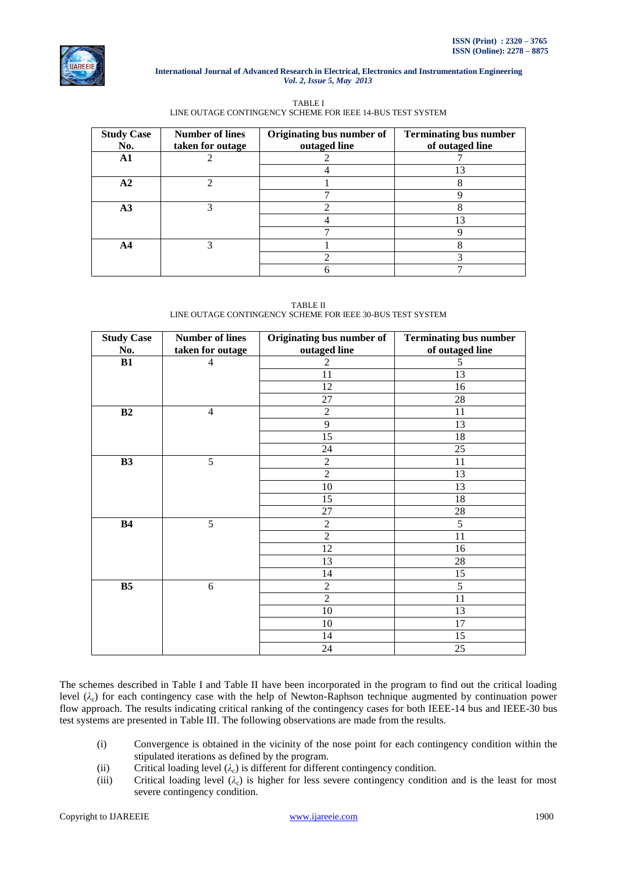

# TABLE I LINE OUTAGE CONTINGENCY SCHEME FOR IEEE 14-BUS TEST SYSTEM

| <b>Study Case</b><br>No. | <b>Number of lines</b><br>taken for outage | Originating bus number of<br>outaged line | <b>Terminating bus number</b><br>of outaged line |
|--------------------------|--------------------------------------------|-------------------------------------------|--------------------------------------------------|
| A1                       |                                            |                                           |                                                  |
|                          |                                            |                                           | 13                                               |
| A2                       | ◠                                          |                                           |                                                  |
|                          |                                            |                                           |                                                  |
| A3                       |                                            |                                           |                                                  |
|                          |                                            |                                           | 13                                               |
|                          |                                            |                                           |                                                  |
| A4                       | 3                                          |                                           |                                                  |
|                          |                                            |                                           |                                                  |
|                          |                                            |                                           |                                                  |

# TABLE II LINE OUTAGE CONTINGENCY SCHEME FOR IEEE 30-BUS TEST SYSTEM

| <b>Study Case</b> | <b>Number of lines</b> | Originating bus number of | <b>Terminating bus number</b> |  |
|-------------------|------------------------|---------------------------|-------------------------------|--|
| No.               | taken for outage       | outaged line              | of outaged line               |  |
| B1                | 4                      | 2                         | 5                             |  |
|                   |                        | 11                        | 13                            |  |
|                   |                        | 12                        | 16                            |  |
|                   |                        | 27                        | $28\,$                        |  |
| B2                | $\overline{4}$         | $\overline{2}$            | 11                            |  |
|                   |                        | 9                         | 13                            |  |
|                   |                        | 15                        | 18                            |  |
|                   |                        | 24                        | 25                            |  |
| B3                | 5                      | $\overline{2}$            | 11                            |  |
|                   |                        | $\overline{2}$            | 13                            |  |
|                   |                        | 10                        | 13                            |  |
|                   |                        | 15                        | 18                            |  |
|                   |                        | 27                        | $28\,$                        |  |
| <b>B4</b>         | 5                      | $\overline{2}$            | 5                             |  |
|                   |                        | $\overline{2}$            | 11                            |  |
|                   |                        | 12                        | 16                            |  |
|                   |                        | 13                        | $28\,$                        |  |
|                   |                        | 14                        | 15                            |  |
| B <sub>5</sub>    | 6                      | $\overline{2}$            | 5                             |  |
|                   |                        | $\overline{2}$            | 11                            |  |
|                   |                        | 10                        | 13                            |  |
|                   |                        | 10                        | 17                            |  |
|                   |                        | 14                        | 15                            |  |
|                   |                        | 24                        | 25                            |  |

The schemes described in Table I and Table II have been incorporated in the program to find out the critical loading level (*λ*c) for each contingency case with the help of Newton-Raphson technique augmented by continuation power flow approach. The results indicating critical ranking of the contingency cases for both IEEE-14 bus and IEEE-30 bus test systems are presented in Table III. The following observations are made from the results.

- (i) Convergence is obtained in the vicinity of the nose point for each contingency condition within the stipulated iterations as defined by the program.
- (ii) Critical loading level  $(\lambda_c)$  is different for different contingency condition.<br>(iii) Critical loading level  $(\lambda_c)$  is higher for less severe contingency condition
- Critical loading level  $(\lambda_c)$  is higher for less severe contingency condition and is the least for most severe contingency condition.